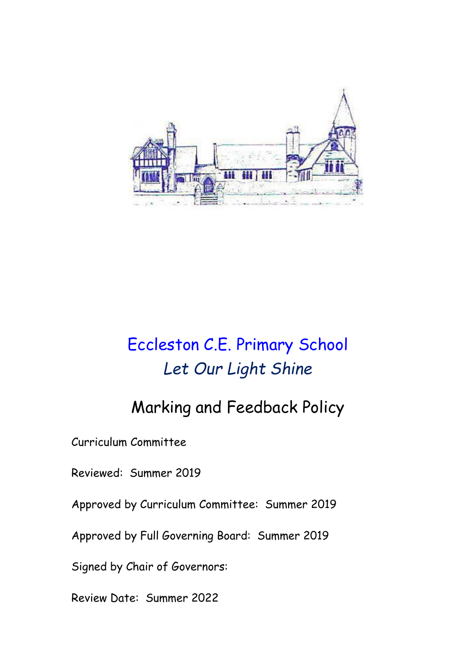

# Eccleston C.E. Primary School *Let Our Light Shine*

## Marking and Feedback Policy

Curriculum Committee

Reviewed: Summer 2019

Approved by Curriculum Committee: Summer 2019

Approved by Full Governing Board: Summer 2019

Signed by Chair of Governors:

Review Date: Summer 2022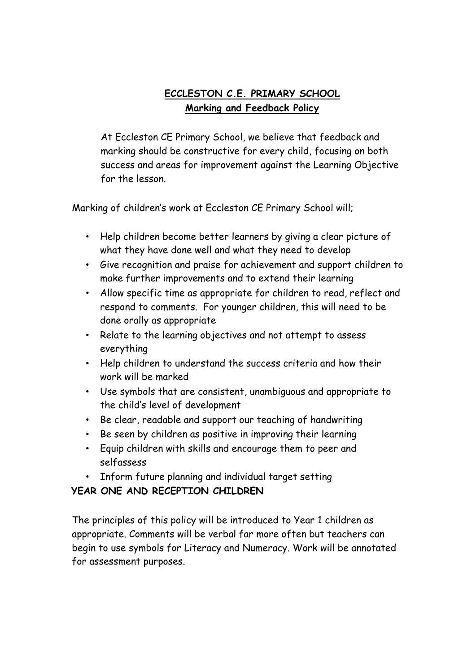## **ECCLESTON C.E. PRIMARY SCHOOL Marking and Feedback Policy**

At Eccleston CE Primary School, we believe that feedback and marking should be constructive for every child, focusing on both success and areas for improvement against the Learning Objective for the lesson.

Marking of children's work at Eccleston CE Primary School will;

- Help children become better learners by giving a clear picture of what they have done well and what they need to develop
- Give recognition and praise for achievement and support children to make further improvements and to extend their learning
- Allow specific time as appropriate for children to read, reflect and respond to comments. For younger children, this will need to be done orally as appropriate
- Relate to the learning objectives and not attempt to assess everything
- Help children to understand the success criteria and how their work will be marked
- Use symbols that are consistent, unambiguous and appropriate to the child's level of development
- Be clear, readable and support our teaching of handwriting
- Be seen by children as positive in improving their learning
- Equip children with skills and encourage them to peer and selfassess
- Inform future planning and individual target setting

#### **YEAR ONE AND RECEPTION CHILDREN**

The principles of this policy will be introduced to Year 1 children as appropriate. Comments will be verbal far more often but teachers can begin to use symbols for Literacy and Numeracy. Work will be annotated for assessment purposes.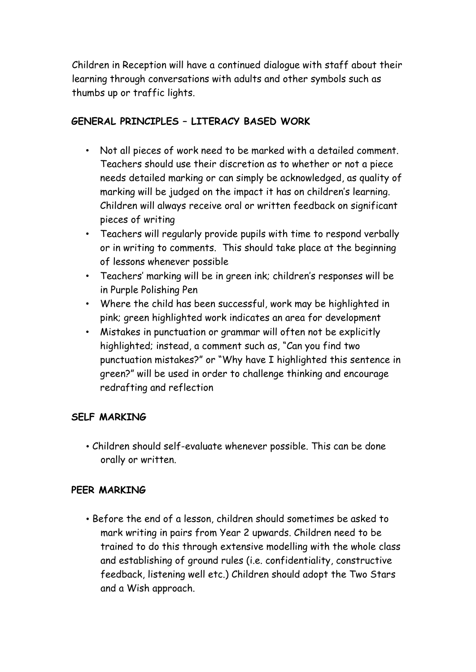Children in Reception will have a continued dialogue with staff about their learning through conversations with adults and other symbols such as thumbs up or traffic lights.

#### **GENERAL PRINCIPLES – LITERACY BASED WORK**

- Not all pieces of work need to be marked with a detailed comment. Teachers should use their discretion as to whether or not a piece needs detailed marking or can simply be acknowledged, as quality of marking will be judged on the impact it has on children's learning. Children will always receive oral or written feedback on significant pieces of writing
- Teachers will regularly provide pupils with time to respond verbally or in writing to comments. This should take place at the beginning of lessons whenever possible
- Teachers' marking will be in green ink; children's responses will be in Purple Polishing Pen
- Where the child has been successful, work may be highlighted in pink; green highlighted work indicates an area for development
- Mistakes in punctuation or grammar will often not be explicitly highlighted; instead, a comment such as, "Can you find two punctuation mistakes?" or "Why have I highlighted this sentence in green?" will be used in order to challenge thinking and encourage redrafting and reflection

#### **SELF MARKING**

• Children should self-evaluate whenever possible. This can be done orally or written.

### **PEER MARKING**

• Before the end of a lesson, children should sometimes be asked to mark writing in pairs from Year 2 upwards. Children need to be trained to do this through extensive modelling with the whole class and establishing of ground rules (i.e. confidentiality, constructive feedback, listening well etc.) Children should adopt the Two Stars and a Wish approach.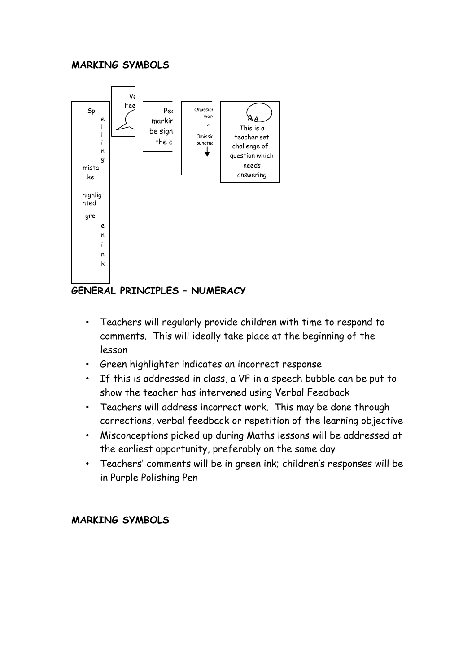#### **MARKING SYMBOLS**



#### **GENERAL PRINCIPLES – NUMERACY**

- Teachers will regularly provide children with time to respond to comments. This will ideally take place at the beginning of the lesson
- Green highlighter indicates an incorrect response
- If this is addressed in class, a VF in a speech bubble can be put to show the teacher has intervened using Verbal Feedback
- Teachers will address incorrect work. This may be done through corrections, verbal feedback or repetition of the learning objective
- Misconceptions picked up during Maths lessons will be addressed at the earliest opportunity, preferably on the same day
- Teachers' comments will be in green ink; children's responses will be in Purple Polishing Pen

#### **MARKING SYMBOLS**